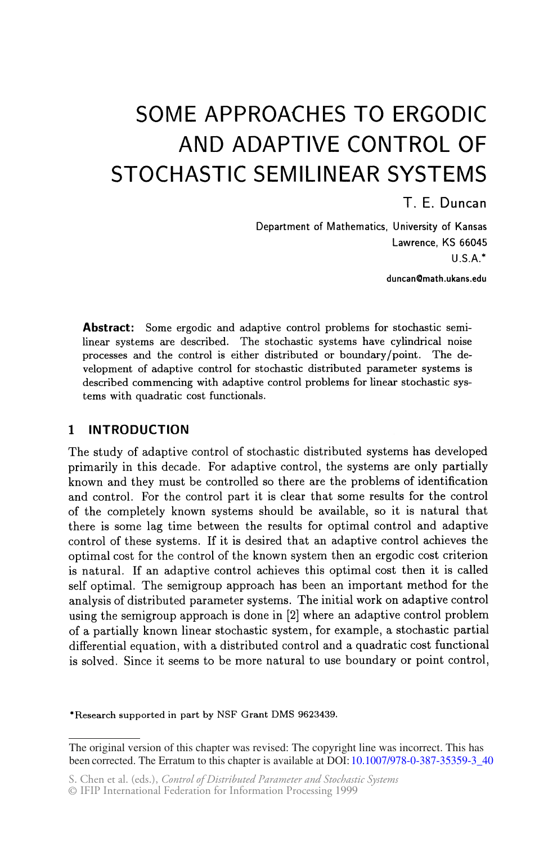# **SOME APPROACHES TO ERGODIC AND ADAPTIVE CONTROL OF STOCHASTIC SEMILINEAR SYSTEMS**

**T. E. Duncan** 

Department of Mathematics, University of Kansas Lawrence, KS 66045  $U.S.A.*$ 

duncan@math.ukans.edu

**Abstract:** Some ergodic and adaptive control problems for stochastic semilinear systems are described. The stochastic systems have cylindrical noise processes and the control is either distributed or boundary /point. The development of adaptive control for stochastic distributed parameter systems is described commencing with adaptive control problems for linear stochastic systems with quadratic cost functionals.

## **1 INTRODUCTION**

The study of adaptive control of stochastic distributed systems has developed primarily in this decade. For adaptive control, the systems are only partially known and they must be controlled so there are the problems of identification and control. For the control part it is clear that some results for the control of the completely known systems should be available, so it is natural that there is some lag time between the results for optimal control and adaptive control of these systems. If it is desired that an adaptive control achieves the optimal cost for the control of the known system then an ergodic cost criterion is natural. If an adaptive control achieves this optimal cost then it is called self optimal. The semigroup approach has been an important method for the analysis of distributed parameter systems. The initial work on adaptive control using the semigroup approach is done in [2] where an adaptive control problem of a partially known linear stochastic system, for example, a stochastic partial differential equation, with a distributed control and a quadratic cost functional is solved. Since it seems to be more natural to use boundary or point control,

\*Research supported in par<sup>t</sup>by NSF Grant DMS 9623439.

for arbitrary values of the coupling parameter *a.*  The original version of this chapter was revised: The copyright line was incorrect. This has been corrected. The Erratum to this chapter is available at DOI: [10.1007/978-0-387-35359-3\\_40](http://dx.doi.org/10.1007/978-0-387-35359-3_40)

S. Chen et al. (eds.), *Control of Distributed Parameter and Stochastic Systems*

<sup>©</sup>  IFIP International Federation for Information Processing 1999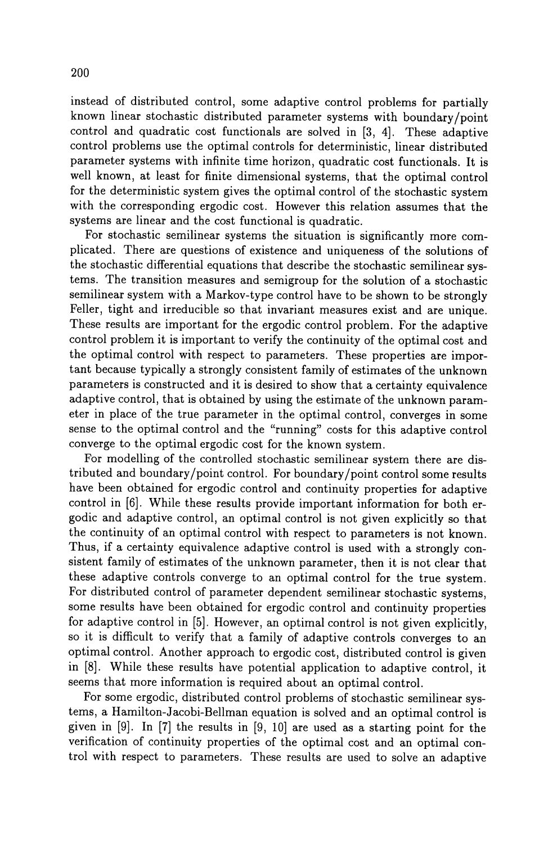instead of distributed control, some adaptive control problems for partially known linear stochastic distributed parameter systems with boundary /point control and quadratic cost functionals are solved in [3, 4]. These adaptive control problems use the optimal controls for deterministic, linear distributed parameter systems with infinite time horizon, quadratic cost functionals. It is well known, at least for finite dimensional systems, that the optimal control for the deterministic system gives the optimal control of the stochastic system with the corresponding ergodic cost. However this relation assumes that the systems are linear and the cost functional is quadratic.

For stochastic semilinear systems the situation is significantly more com<sup>p</sup>licated. There are questions of existence and uniqueness of the solutions of the stochastic differential equations that describe the stochastic semilinear systems. The transition measures and semigroup for the solution of a stochastic semilinear system with a Markov-type control have to be shown to be strongly Feller, tight and irreducible so that invariant measures exist and are unique. These results are important for the ergodic control problem. For the adaptive control problem it is important to verify the continuity of the optimal cost and the optimal control with respect to parameters. These properties are important because typically a strongly consistent family of estimates of the unknown parameters is constructed and it is desired to show that a certainty equivalence adaptive control, that is obtained by using the estimate of the unknown parameter in place of the true parameter in the optimal control, converges in some sense to the optimal control and the "running" costs for this adaptive control converge to the optimal ergodic cost for the known system.

For modelling of the controlled stochastic semilinear system there are distributed and boundary /point control. For boundary /point control some results have been obtained for ergodic control and continuity properties for adaptive control in [6]. While these results provide important information for both ergodic and adaptive control, an optimal control is not given explicitly so that the continuity of an optimal control with respect to parameters is not known. Thus, if a certainty equivalence adaptive control is used with a strongly consistent family of estimates of the unknown parameter, then it is not clear that these adaptive controls converge to an optimal control for the true system. For distributed control of parameter dependent semilinear stochastic systems, some results have been obtained for ergodic control and continuity properties for adaptive control in [5]. However, an optimal control is not given explicitly, so it is difficult to verify that a family of adaptive controls converges to an optimal control. Another approach to ergodic cost, distributed control is given in [8]. While these results have potential application to adaptive control, it seems that more information is required about an optimal control.

For some ergodic, distributed control problems of stochastic semilinear systems, a Hamilton-Jacobi-Bellman equation is solved and an optimal control is <sup>g</sup>iven in [9]. In [7] the results in [9, 10] are used as a starting point for the verification of continuity properties of the optimal cost and an optimal control with respect to parameters. These results are used to solve an adaptive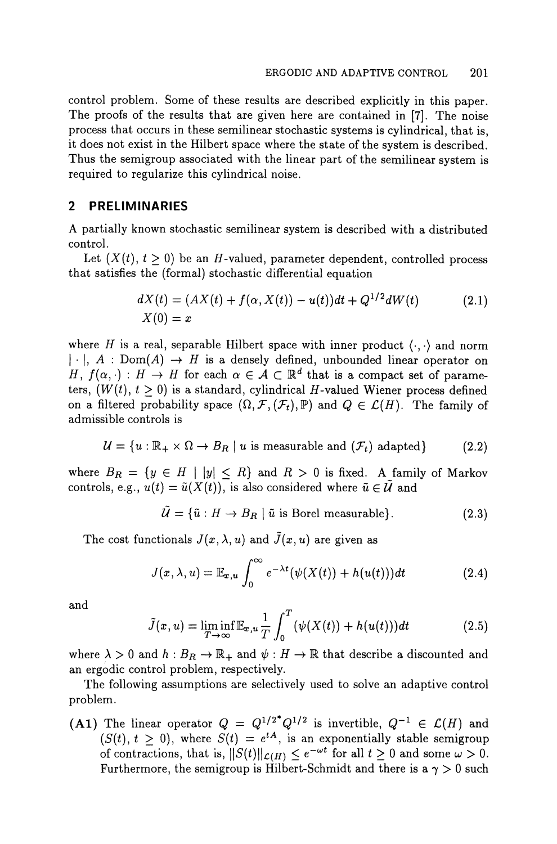control problem. Some of these results are described explicitly in this paper. The proofs of the results that are given here are contained in [7]. The noise process that occurs in these semilinear stochastic systems is cylindrical, that is, it does not exist in the Hilbert space where the state of the system is described. Thus the semigroup associated with the linear part of the semilinear system is required to regularize this cylindrical noise.

## 2 **PRELIMINARIES**

A partially known stochastic semilinear system is described with a distributed control.

Let  $(X(t), t > 0)$  be an *H*-valued, parameter dependent, controlled process that satisfies the (formal) stochastic differential equation

$$
dX(t) = (AX(t) + f(\alpha, X(t)) - u(t))dt + Q^{1/2}dW(t)
$$
\n(2.1)  
\n
$$
X(0) = x
$$

where *H* is a real, separable Hilbert space with inner product  $\langle \cdot, \cdot \rangle$  and norm  $|\cdot|$ ,  $A : Dom(A) \rightarrow H$  is a densely defined, unbounded linear operator on *H,*  $f(\alpha, \cdot) : H \to H$  for each  $\alpha \in \mathcal{A} \subset \mathbb{R}^d$  that is a compact set of parameters,  $(W(t), t > 0)$  is a standard, cylindrical H-valued Wiener process defined on a filtered probability space  $(\Omega, \mathcal{F}, (\mathcal{F}_t), \mathbb{P})$  and  $Q \in \mathcal{L}(H)$ . The family of admissible controls is

$$
\mathcal{U} = \{ u : \mathbb{R}_+ \times \Omega \to B_R \mid u \text{ is measurable and } (\mathcal{F}_t) \text{ adapted} \}
$$
 (2.2)

where  $B_R = \{y \in H \mid |y| \leq R\}$  and  $R > 0$  is fixed. A family of Markov controls, e.g.,  $u(t) = \tilde{u}(X(t))$ , is also considered where  $\tilde{u} \in \tilde{\mathcal{U}}$  and

$$
\tilde{U} = \{ \tilde{u} : H \to B_R \mid \tilde{u} \text{ is Borel measurable} \}. \tag{2.3}
$$

The cost functionals  $J(x, \lambda, u)$  and  $\tilde{J}(x, u)$  are given as

$$
J(x, \lambda, u) = \mathbb{E}_{x, u} \int_0^{\infty} e^{-\lambda t} (\psi(X(t)) + h(u(t))) dt \qquad (2.4)
$$

and

$$
\tilde{J}(x,u) = \liminf_{T \to \infty} \mathbb{E}_{x,u} \frac{1}{T} \int_0^T (\psi(X(t)) + h(u(t))) dt \qquad (2.5)
$$

where  $\lambda > 0$  and  $h : B_R \to \mathbb{R}_+$  and  $\psi : H \to \mathbb{R}$  that describe a discounted and an ergodic control problem, respectively.

The following assumptions are selectively used to solve an adaptive control problem.

(A1) The linear operator  $Q = Q^{1/2^*}Q^{1/2}$  is invertible,  $Q^{-1} \in \mathcal{L}(H)$  and  $(S(t), t > 0)$ , where  $S(t) = e^{tA}$ , is an exponentially stable semigroup of contractions, that is,  $||S(t)||_{\mathcal{L}(H)} \leq e^{-\omega t}$  for all  $t \geq 0$  and some  $\omega > 0$ . Furthermore, the semigroup is Hilbert-Schmidt and there is a  $\gamma > 0$  such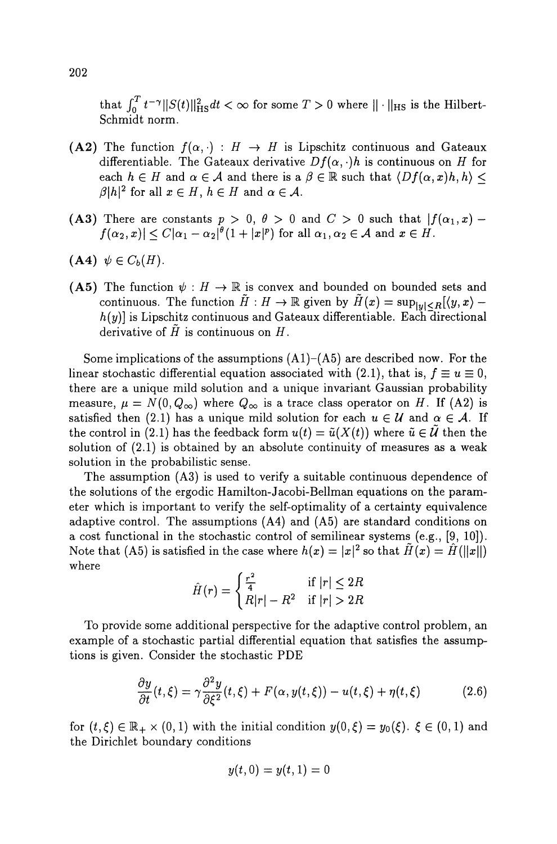that  $\int_0^T t^{-\gamma} ||S(t)||_{\text{HS}}^2 dt < \infty$  for some  $T > 0$  where  $|| \cdot ||_{\text{HS}}$  is the Hilbert-Schmidt norm.

- (A2) The function  $f(\alpha, \cdot) : H \to H$  is Lipschitz continuous and Gateaux differentiable. The Gateaux derivative  $Df(\alpha, \cdot)h$  is continuous on *H* for each  $h \in H$  and  $\alpha \in \mathcal{A}$  and there is a  $\beta \in \mathbb{R}$  such that  $\langle Df(\alpha, x)h, h \rangle$  $(\beta|h|^2)$  for all  $x \in H$ ,  $h \in H$  and  $\alpha \in \mathcal{A}$ .
- (A3) There are constants  $p > 0$ ,  $\theta > 0$  and  $C > 0$  such that  $|f(\alpha_1, x) |f(\alpha_2, x)| < C|\alpha_1 - \alpha_2|^{\theta} (1 + |x|^p)$  for all  $\alpha_1, \alpha_2 \in \mathcal{A}$  and  $x \in H$ .
- $(A4)$   $\psi \in C_b(H)$ .
- (A5) The function  $\psi : H \to \mathbb{R}$  is convex and bounded on bounded sets and continuous. The function  $\tilde{H}: H \to \mathbb{R}$  given by  $\tilde{H}(x) = \sup_{|y| \le R} [\langle y, x \rangle$  $h(y)$  is Lipschitz continuous and Gateaux differentiable. Each directional derivative of  $\tilde{H}$  is continuous on  $H$ .

Some implications of the assumptions  $(A1)$ – $(A5)$  are described now. For the linear stochastic differential equation associated with (2.1), that is,  $f \equiv u \equiv 0$ , there are a unique mild solution and a unique invariant Gaussian probability measure,  $\mu = N(0, Q_{\infty})$  where  $Q_{\infty}$  is a trace class operator on *H*. If (A2) is satisfied then (2.1) has a unique mild solution for each  $u \in \mathcal{U}$  and  $\alpha \in \mathcal{A}$ . If the control in (2.1) has the feedback form  $u(t) = \tilde{u}(X(t))$  where  $\tilde{u} \in \tilde{\mathcal{U}}$  then the solution of (2.1) is obtained by an absolute continuity of measures as a weak solution in the probabilistic sense.

The assumption (A3) is used to verify a suitable continuous dependence of the solutions ofthe ergodic Hamilton-Jacobi-Bellman equations on the parameter which is important to verify the self-optimality of a certainty equivalence adaptive control. The assumptions (A4) and (A5) are standard conditions on a cost functional in the stochastic control of semilinear systems (e.g., [9, 10]). Note that (A5) is satisfied in the case where  $h(x) = |x|^2$  so that  $\tilde{H}(x) = \hat{H}(||x||)$ where

$$
\hat{H}(r) = \begin{cases} \frac{r^2}{4} & \text{if } |r| \le 2R\\ R|r| - R^2 & \text{if } |r| > 2R \end{cases}
$$

To provide some additional perspective for the adaptive control problem, an example of a stochastic partial differential equation that satisfies the assumptions is given. Consider the stochastic PDE

$$
\frac{\partial y}{\partial t}(t,\xi) = \gamma \frac{\partial^2 y}{\partial \xi^2}(t,\xi) + F(\alpha, y(t,\xi)) - u(t,\xi) + \eta(t,\xi)
$$
(2.6)

for  $(t,\xi) \in \mathbb{R}_+ \times (0,1)$  with the initial condition  $y(0,\xi) = y_0(\xi)$ .  $\xi \in (0,1)$  and the Dirichlet boundary conditions

$$
y(t,0)=y(t,1)=0
$$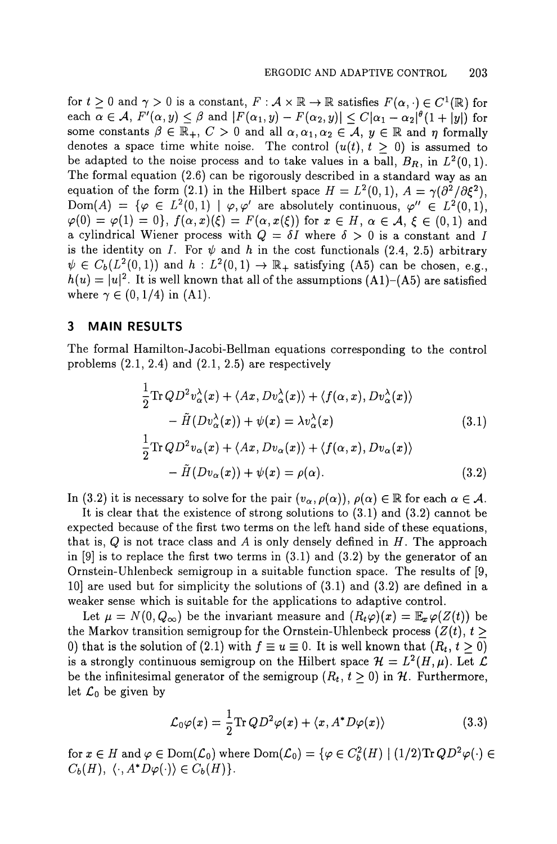for  $t \geq 0$  and  $\gamma > 0$  is a constant,  $F: \mathcal{A} \times \mathbb{R} \to \mathbb{R}$  satisfies  $F(\alpha, \cdot) \in C^1(\mathbb{R})$  for each  $\alpha \in \mathcal{A}$ ,  $F'(\alpha, y) \leq \beta$  and  $|F(\alpha_1, y) - F(\alpha_2, y)| \leq C|\alpha_1 - \alpha_2|^{\theta}(1 + |y|)$  for some constants  $\beta \in \mathbb{R}_+$ ,  $C > 0$  and all  $\alpha, \alpha_1, \alpha_2 \in \mathcal{A}$ ,  $y \in \mathbb{R}$  and  $\eta$  formally denotes a space time white noise. The control  $(u(t), t > 0)$  is assumed to be adapted to the noise process and to take values in a ball,  $B_R$ , in  $L^2(0,1)$ . The formal equation (2.6) can be rigorously described in a standard way as an equation of the form (2.1) in the Hilbert space  $H = L^2(0,1)$ ,  $A = \gamma(\partial^2/\partial \xi^2)$ ,  $Dom(A) = {\varphi \in L^2(0,1) \mid \varphi, \varphi' \text{ are absolutely continuous, } \varphi'' \in L^2(0,1),$  $\varphi(0) = \varphi(1) = 0$ ,  $f(\alpha, x)(\xi) = F(\alpha, x(\xi))$  for  $x \in H$ ,  $\alpha \in \mathcal{A}, \xi \in (0, 1)$  and a cylindrical Wiener process with  $Q = \delta I$  where  $\delta > 0$  is a constant and *I* is the identity on *I*. For  $\psi$  and *h* in the cost functionals (2.4, 2.5) arbitrary  $\psi \in C_b(L^2(0, 1))$  and  $h : L^2(0, 1) \to \mathbb{R}_+$  satisfying (A5) can be chosen, e.g.,  $h(u) = |u|^2$ . It is well known that all of the assumptions  $(A1)$ – $(A5)$  are satisfied where  $\gamma \in (0, 1/4)$  in (A1).

#### **3 MAIN RESULTS**

The formal Hamilton-Jacobi-Bellman equations corresponding to the control problems  $(2.1, 2.4)$  and  $(2.1, 2.5)$  are respectively

$$
\frac{1}{2}\text{Tr }Q D^2 v_{\alpha}^{\lambda}(x) + \langle Ax, D v_{\alpha}^{\lambda}(x) \rangle + \langle f(\alpha, x), D v_{\alpha}^{\lambda}(x) \rangle \n- \tilde{H}(D v_{\alpha}^{\lambda}(x)) + \psi(x) = \lambda v_{\alpha}^{\lambda}(x) \tag{3.1}
$$
\n
$$
\frac{1}{2}\text{Tr }Q D^2 v_{\alpha}(x) + \langle Ax, D v_{\alpha}(x) \rangle + \langle f(\alpha, x), D v_{\alpha}(x) \rangle \n- \tilde{H}(D v_{\alpha}(x)) + \psi(x) = \rho(\alpha). \tag{3.2}
$$

In (3.2) it is necessary to solve for the pair  $(v_\alpha, \rho(\alpha))$ ,  $\rho(\alpha) \in \mathbb{R}$  for each  $\alpha \in \mathcal{A}$ .

It is clear that the existence of strong solutions to  $(3.1)$  and  $(3.2)$  cannot be expected because of the first two terms on the left hand side of these equations, that is, *Q* is not trace class and *A* is only densely defined in *H.* The approach in  $[9]$  is to replace the first two terms in  $(3.1)$  and  $(3.2)$  by the generator of an Ornstein-Uhlenbeck semigroup in a suitable function space. The results of [9, 10] are used but for simplicity the solutions of (3.1) and (3.2) are defined in a weaker sense which is suitable for the applications to adaptive control.

Let  $\mu = N(0, Q_{\infty})$  be the invariant measure and  $(R_t \varphi)(x) = \mathbb{E}_x \varphi(Z(t))$  be the Markov transition semigroup for the Ornstein-Uhlenbeck process  $(Z(t), t$ 0) that is the solution of (2.1) with  $f \equiv u \equiv 0$ . It is well known that  $(R_t, t \ge 0)$ is a strongly continuous semigroup on the Hilbert space  $\mathcal{H} = L^2(H,\mu)$ . Let  $\mathcal{L}$ be the infinitesimal generator of the semigroup  $(R_t, t \geq 0)$  in  $H$ . Furthermore, let  $\mathcal{L}_0$  be given by

$$
\mathcal{L}_0 \varphi(x) = \frac{1}{2} \text{Tr} \, Q D^2 \varphi(x) + \langle x, A^* D \varphi(x) \rangle \tag{3.3}
$$

for  $x \in H$  and  $\varphi \in \text{Dom}(\mathcal{L}_0)$  where  $\text{Dom}(\mathcal{L}_0) = {\varphi \in C_b^2(H) \mid (1/2) \text{Tr} QD^2 \varphi(\cdot) \in$  $C_b(H)$ ,  $\langle \cdot, A^* D\varphi(\cdot) \rangle \in C_b(H)$ .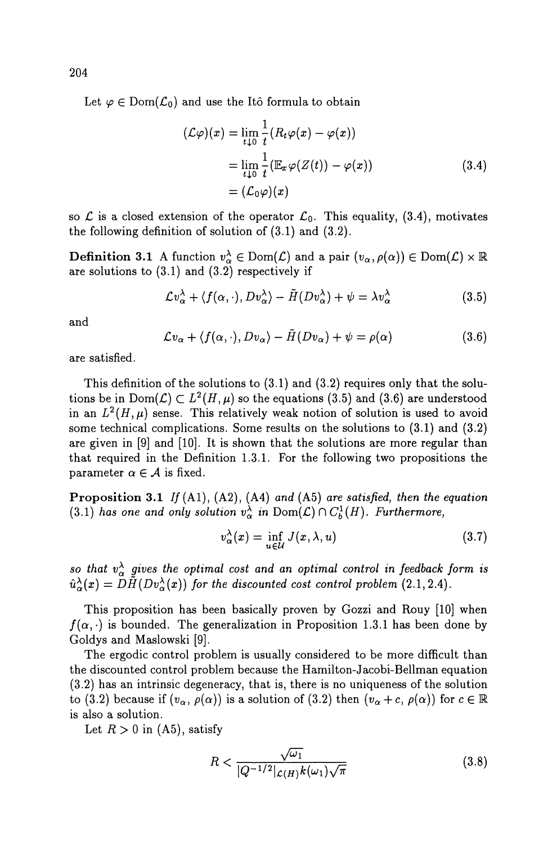Let  $\varphi \in \text{Dom}(\mathcal{L}_0)$  and use the Itô formula to obtain

$$
(\mathcal{L}\varphi)(x) = \lim_{t \downarrow 0} \frac{1}{t} (R_t \varphi(x) - \varphi(x))
$$
  
= 
$$
\lim_{t \downarrow 0} \frac{1}{t} (\mathbb{E}_x \varphi(Z(t)) - \varphi(x))
$$
  
= 
$$
(\mathcal{L}_0 \varphi)(x)
$$
 (3.4)

so  $\mathcal L$  is a closed extension of the operator  $\mathcal L_0$ . This equality, (3.4), motivates the following definition of solution of (3.1) and (3.2).

**Definition 3.1** A function  $v_{\alpha}^{\lambda} \in \text{Dom}(\mathcal{L})$  and a pair  $(v_{\alpha}, \rho(\alpha)) \in \text{Dom}(\mathcal{L}) \times \mathbb{R}$ are solutions to (3.1) and (3.2) respectively if

$$
\mathcal{L}v_{\alpha}^{\lambda} + \langle f(\alpha, \cdot), Dv_{\alpha}^{\lambda} \rangle - \tilde{H}(Dv_{\alpha}^{\lambda}) + \psi = \lambda v_{\alpha}^{\lambda}
$$
 (3.5)

and

$$
\mathcal{L}v_{\alpha} + \langle f(\alpha, \cdot), Dv_{\alpha} \rangle - \tilde{H}(Dv_{\alpha}) + \psi = \rho(\alpha) \tag{3.6}
$$

are satisfied.

This definition of the solutions to  $(3.1)$  and  $(3.2)$  requires only that the solutions be in  $Dom(\mathcal{L}) \subset L^2(H, \mu)$  so the equations (3.5) and (3.6) are understood in an  $L^2(H, \mu)$  sense. This relatively weak notion of solution is used to avoid some technical complications. Some results on the solutions to (3.1) and (3.2) are given in [9] and [10]. It is shown that the solutions are more regular than that required in the Definition 1.3.1. For the following two propositions the parameter  $\alpha \in \mathcal{A}$  is fixed.

**Proposition 3.1** *If* (A1), (A2), (A4) *and* (A5) *are satisfied, then the equation*  (3.1) has one and only solution  $v_{\alpha}^{\lambda}$  in  $\text{Dom}(\mathcal{L}) \cap C_b^1(H)$ . Furthermore,

$$
v_{\alpha}^{\lambda}(x) = \inf_{u \in \mathcal{U}} J(x, \lambda, u)
$$
 (3.7)

so that  $v_{\alpha}^{\lambda}$  gives the optimal cost and an optimal control in feedback form is  $\hat{u}_{\alpha}^{\lambda}(x) = D\tilde{H}(Dv_{\alpha}^{\lambda}(x))$  for the discounted cost control problem (2.1, 2.4).

This proposition has been basically proven by Gozzi and Rouy [10] when  $f(\alpha, \cdot)$  is bounded. The generalization in Proposition 1.3.1 has been done by Goldys and Maslowski [9].

The ergodic control problem is usually considered to be more difficult than the discounted control problem because the Hamilton-Jacobi-Bellman equation (3.2) has an intrinsic degeneracy, that is, there is no uniqueness of the solution to (3.2) because if  $(v_\alpha, \rho(\alpha))$  is a solution of (3.2) then  $(v_\alpha + c, \rho(\alpha))$  for  $c \in \mathbb{R}$ is also a solution.

Let  $R > 0$  in (A5), satisfy

$$
R < \frac{\sqrt{\omega_1}}{|Q^{-1/2}|_{\mathcal{L}(H)} k(\omega_1)\sqrt{\pi}} \tag{3.8}
$$

204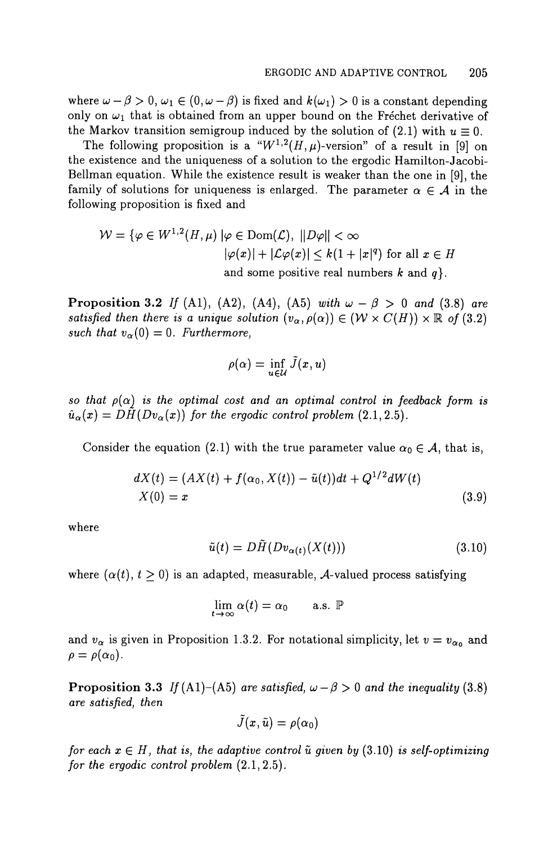where  $\omega - \beta > 0$ ,  $\omega_1 \in (0, \omega - \beta)$  is fixed and  $k(\omega_1) > 0$  is a constant depending only on  $\omega_1$  that is obtained from an upper bound on the Fréchet derivative of the Markov transition semigroup induced by the solution of (2.1) with  $u \equiv 0$ .

The following proposition is a " $W^{1,2}(H,\mu)$ -version" of a result in [9] on the existence and the uniqueness of a solution to the ergodic Hamilton-Jacobi-Bellman equation. While the existence result is weaker than the one in [9], the family of solutions for uniqueness is enlarged. The parameter  $\alpha \in \mathcal{A}$  in the following proposition is fixed and

$$
\mathcal{W} = \{ \varphi \in W^{1,2}(H,\mu) \mid \varphi \in \text{Dom}(\mathcal{L}), \ ||D\varphi|| < \infty
$$

$$
|\varphi(x)| + |\mathcal{L}\varphi(x)| \le k(1+|x|^q) \text{ for all } x \in H
$$
and some positive real numbers  $k$  and  $q \}.$ 

**Proposition 3.2** *If* (A1), (A2), (A4), (A5) *with*  $\omega - \beta > 0$  *and* (3.8) *are satisfied then there is a unique solution*  $(v_\alpha, \rho(\alpha)) \in (W \times C(H)) \times \mathbb{R}$  of (3.2). *such that*  $v_{\alpha}(0) = 0$ . *Furthermore,* 

$$
\rho(\alpha) = \inf_{u \in \mathcal{U}} \tilde{J}(x, u)
$$

so that  $p(\alpha)$  is the optimal cost and an optimal control in feedback form is  $\hat{u}_{\alpha}(x) = D\hat{H}(Dv_{\alpha}(x))$  for the ergodic control problem (2.1, 2.5).

Consider the equation (2.1) with the true parameter value  $\alpha_0 \in A$ , that is,

$$
dX(t) = (AX(t) + f(\alpha_0, X(t)) - \tilde{u}(t))dt + Q^{1/2}dW(t)
$$
  
 
$$
X(0) = x
$$
 (3.9)

where

$$
\tilde{u}(t) = D\tilde{H}(Dv_{\alpha(t)}(X(t)))\tag{3.10}
$$

where  $(\alpha(t), t > 0)$  is an adapted, measurable, A-valued process satisfying

$$
\lim_{t\to\infty}\alpha(t)=\alpha_0\qquad\text{a.s. }\mathbb{P}
$$

and  $v_{\alpha}$  is given in Proposition 1.3.2. For notational simplicity, let  $v = v_{\alpha}$  and  $\rho=\rho(\alpha_0)$ .

**Proposition 3.3** *If*  $(A1)$ – $(A5)$  *are satisfied,*  $\omega - \beta > 0$  *and the inequality* (3.8) *are satisfied, then* 

$$
J(x,\tilde{u})=\rho(\alpha_0)
$$

*for each*  $x \in H$ *, that is, the adaptive control*  $\tilde{u}$  *given by (3.10) is self-optimizing for the ergodic control problem* (2.1, 2.5).